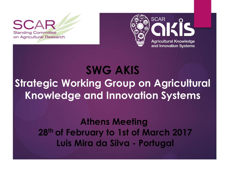**Standing Committee** on Agricultural Research



# **SWG AKIS Strategic Working Group on Agricultural Knowledge and Innovation Systems**

**Athens Meeting 28th of February to 1st of March 2017 Luis Mira da Silva - Portugal**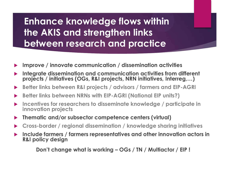## **Enhance knowledge flows within the AKIS and strengthen links between research and practice**

- **Improve / innovate communication / dissemination activities**
- **Integrate dissemination and communication activities from different projects / initiatives (OGs, R&I projects, NRN initiatives, Interreg,…)**
- **Better links between R&I projects / advisors / farmers and EIP-AGRI**
- **Better links between NRNs with EIP-AGRI (National EIP units?)**
- **Incentives for researchers to disseminate knowledge / participate in innovation projects**
- **Thematic and/or subsector competence centers (virtual)**
- **Cross-border / regional dissemination / knowledge sharing initiatives**
- **Include farmers / farmers representatives and other innovation actors in R&I policy design**

 **Don't change what is working – OGs / TN / Multiactor / EIP !**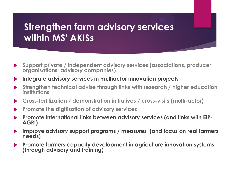### **Strengthen farm advisory services within MS' AKISs**

- **Support private / independent advisory services (associations, producer organisations, advisory companies)**
- **Integrate advisory services in multiactor innovation projects**
- **Strengthen technical advise through links with research / higher education institutions**
- **Cross-fertilization / demonstration initiatives / cross-visits (multi-actor)**
- **Promote the digitisation of advisory services**
- **Promote international links between advisory services (and links with EIP-AGRI)**
- **Improve advisory support programs / measures (and focus on real farmers needs)**
- **Promote farmers capacity development in agriculture innovation systems (through advisory and training)**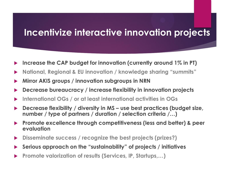#### **Incentivize interactive innovation projects**

- **Increase the CAP budget for innovation (currently around 1% in PT)**
- **National, Regional & EU innovation / knowledge sharing "summits"**
- **Mirror AKIS groups / innovation subgroups in NRN**
- **Decrease bureaucracy / increase flexibility in innovation projects**
- **International OGs / or at least international activities in OGs**
- **Decrease flexibility / diversity in MS – use best practices (budget size, number / type of partners / duration / selection criteria /…)**
- **Promote excellence through competitiveness (less and better) & peer evaluation**
- **Disseminate success / recognize the best projects (prizes?)**
- **Serious approach on the "sustainability" of projects / initiatives**
- **Promote valorization of results (Services, IP, Startups,…)**